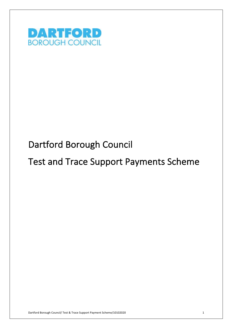

# Dartford Borough Council

# Test and Trace Support Payments Scheme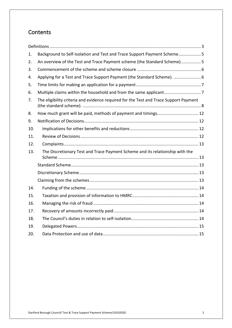# **Contents**

| 1.  | Background to Self-Isolation and Test and Trace Support Payment Scheme5               |
|-----|---------------------------------------------------------------------------------------|
| 2.  | An overview of the Test and Trace Payment scheme (the Standard Scheme)5               |
| 3.  |                                                                                       |
| 4.  | Applying for a Test and Trace Support Payment (the Standard Scheme).  6               |
| 5.  |                                                                                       |
| 6.  | Multiple claims within the household and from the same applicant7                     |
| 7.  | The eligibility criteria and evidence required for the Test and Trace Support Payment |
| 8.  | How much grant will be paid, methods of payment and timings 12                        |
| 9.  |                                                                                       |
| 10. |                                                                                       |
| 11. |                                                                                       |
| 12. |                                                                                       |
| 13. | The Discretionary Test and Trace Payment Scheme and its relationship with the         |
|     |                                                                                       |
|     |                                                                                       |
|     |                                                                                       |
| 14. |                                                                                       |
| 15. |                                                                                       |
| 16. |                                                                                       |
| 17. |                                                                                       |
| 18. |                                                                                       |
| 19. |                                                                                       |
| 20. |                                                                                       |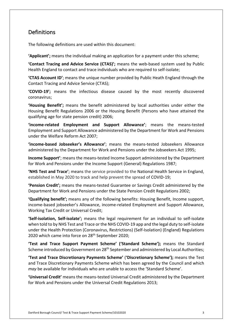## Definitions

The following definitions are used within this document:

**'Applicant';** means the individual making an application for a payment under this scheme;

 **'Contact Tracing and Advice Service (CTAS)';** means the web-based system used by Public Health England to contact and trace individuals who are required to self-isolate;

 **'CTAS Account ID'**; means the unique number provided by Public Heath England through the Contact Tracing and Advice Service (CTAS);

 **'COVID-19';** means the infectious disease caused by the most recently discovered coronavirus;

 **'Housing Benefit';** means the benefit administered by local authorities under either the Housing Benefit Regulations 2006 or the Housing Benefit (Persons who have attained the qualifying age for state pension credit) 2006;

 **'income-related Employment and Support Allowance'**; means the means-tested Employment and Support Allowance administered by the Department for Work and Pensions under the Welfare Reform Act 2007;

 **'income-based Jobseeker's Allowance'**; means the means-tested Jobseekers Allowance administered by the Department for Work and Pensions under the Jobseekers Act 1995;

 **Income Support'**; means the means-tested Income Support administered by the Department for Work and Pensions under the Income Support (General) Regulations 1987;

 **'NHS Test and Trace'**; means the service provided to the National Health Service in England, established in May 2020 to track and help prevent the spread of COVID-19;

 **'Pension Credit';** means the means-tested Guarantee or Savings Credit administered by the Department for Work and Pensions under the State Pension Credit Regulations 2002;

 **'Qualifying benefit';** means any of the following benefits: Housing Benefit, Income support, income-based jobseeker's Allowance, income-related Employment and Support Allowance, Working Tax Credit or Universal Credit;

 **'Self-isolation, Self-isolate';** means the legal requirement for an individual to self-isolate when told to by NHS Test and Trace or the NHS COVID-19 app and the legal duty to self-isolate under the Health Protection (Coronavirus, Restrictions) (Self-Isolation) (England) Regulations 2020 which came into force on 28<sup>th</sup> September 2020;

 **'Test and Trace Support Payment Scheme' ('Standard Scheme');** means the Standard Scheme introduced by Government on 28<sup>th</sup> September and administered by Local Authorities;

 **'Test and Trace Discretionary Payments Scheme'** (**'Discretionary Scheme');** means the Test and Trace Discretionary Payments Scheme which has been agreed by the Council and which *may* be available for individuals who are unable to access the 'Standard Scheme'.

 **'Universal Credit'** means the means-tested Universal Credit administered by the Department for Work and Pensions under the Universal Credit Regulations 2013;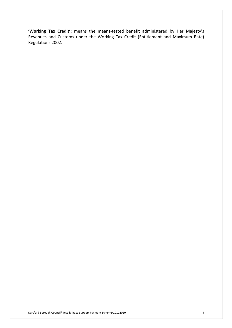**'Working Tax Credit';** means the means-tested benefit administered by Her Majesty's Revenues and Customs under the Working Tax Credit (Entitlement and Maximum Rate) Regulations 2002.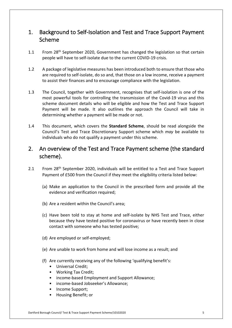## 1. Background to Self-Isolation and Test and Trace Support Payment Scheme

- 1.1 From 28<sup>th</sup> September 2020, Government has changed the legislation so that certain people will have to self-isolate due to the current COVID-19 crisis.
- 1.2 A package of legislative measures has been introduced both to ensure that those who are required to self-isolate, do so and, that those on a low income, receive a payment to assist their finances and to encourage compliance with the legislation.
- 1.3 The Council, together with Government, recognises that self-isolation is one of the most powerful tools for controlling the transmission of the Covid-19 virus and this scheme document details who will be eligible and how the Test and Trace Support Payment will be made. It also outlines the approach the Council will take in determining whether a payment will be made or not.
- 1.4 This document, which covers the **Standard Scheme**, should be read alongside the Council's Test and Trace Discretionary Support scheme which *may* be available to individuals who do not qualify a payment under this scheme.

## 2. An overview of the Test and Trace Payment scheme (the standard scheme).

- 2.1 From 28<sup>th</sup> September 2020, individuals will be entitled to a Test and Trace Support Payment of £500 from the Council if they meet the eligibility criteria listed below:
	- (a) Make an application to the Council in the prescribed form and provide all the evidence and verification required;
	- (b) Are a resident within the Council's area;
	- (c) Have been told to stay at home and self-isolate by NHS Test and Trace, either because they have tested positive for coronavirus or have recently been in close contact with someone who has tested positive;
	- (d) Are employed or self-employed;
	- (e) Are unable to work from home and will lose income as a result; and
	- (f) Are currently receiving any of the following 'qualifying benefit's:
		- Universal Credit;
		- Working Tax Credit;
		- income-based Employment and Support Allowance;
		- income-based Jobseeker's Allowance;
		- Income Support;
		- Housing Benefit; or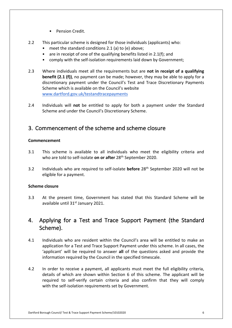- Pension Credit.
- 2.2 This particular scheme is designed for those individuals (applicants) who:
	- meet the standard conditions 2.1 (a) to (e) above;
	- are in receipt of one of the qualifying benefits listed in 2.1(f); and
	- comply with the self-isolation requirements laid down by Government;
- $2.3$  **benefit (2.1 (f))**, no payment can be made; however, they may be able to apply for a discretionary payment under the Council's Test and Trace Discretionary Payments Scheme which is available on the Council's website 2.3 Where individuals meet all the requirements but are **not in receipt of a qualifying**  <www.dartford.gov.uk/testandtracepayments>
- 2.4 Individuals will **not** be entitled to apply for both a payment under the Standard Scheme and under the Council's Discretionary Scheme.

## 3. Commencement of the scheme and scheme closure

### **Commencement**

- $3.1$ This scheme is available to all individuals who meet the eligibility criteria and who are told to self-isolate **on or after** 28th September 2020.
- 3.2 Individuals who are required to self-isolate **before** 28th September 2020 will not be eligible for a payment.

## **Scheme closure**

 $3.3$ available until 31<sup>st</sup> January 2021. At the present time, Government has stated that this Standard Scheme will be

# 4. Applying for a Test and Trace Support Payment (the Standard Scheme).

- 4.1 Individuals who are resident within the Council's area will be entitled to make an application for a Test and Trace Support Payment under this scheme. In all cases, the 'applicant' will be required to answer **all** of the questions asked and provide the information required by the Council in the specified timescale.
- $4.2$  details of which are shown within Section 6 of this scheme. The applicant will be required to self-verify certain criteria and also confirm that they will comply In order to receive a payment, all applicants must meet the full eligibility criteria, with the self-isolation requirements set by Government.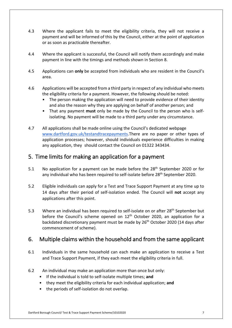- $4.3$  payment and will be informed of this by the Council, either at the point of application or as soon as practicable thereafter. Where the applicant fails to meet the eligibility criteria, they will not receive a
- $4.4$  payment in line with the timings and methods shown in Section 8. Where the applicant is successful, the Council will notify them accordingly and make
- 4.5 Applications can **only** be accepted from individuals who are resident in the Council's area.
- 4.6 Applications will be accepted from a third party in respect of any individual who meets the eligibility criteria for a payment. However, the following should be noted:
	- • The person making the application will need to provide evidence of their identity and also the reason why they are applying on behalf of another person; and
	- • That any payment **must** only be made by the Council to the person who is self-isolating. No payment will be made to a third party under any circumstance.
- $4.7$ www.dartford.gov.uk/testandtracepayments</u>.There are no paper or other types of application processes; however, should individuals experience difficulties in making All applications shall be made online using the Council's dedicated webpage any application, they should contact the Council on 01322 343434.

## 5. Time limits for making an application for a payment

- $5.1$ No application for a payment can be made before the  $28<sup>th</sup>$  September 2020 or for any individual who has been required to self-isolate before 28<sup>th</sup> September 2020.
- $52$  applications after this point. Eligible individuals can apply for a Test and Trace Support Payment at any time up to 14 days after their period of self-isolation ended. The Council will **not** accept any
- $5.3$ before the Council's scheme opened on 12<sup>th</sup> October 2020, an application for a backdated discretionary payment must be made by 26<sup>th</sup> October 2020 (14 days after commencement of scheme). Where an individual has been required to self-isolate on or after 28<sup>th</sup> September but

## 6. Multiple claims within the household and from the same applicant

- 6.1 Individuals in the same household can each make an application to receive a Test and Trace Support Payment, if they each meet the eligibility criteria in full.
- $6.2$ An individual may make an application more than once but only:
	- If the individual is told to self-isolate multiple times; **and**
	- they meet the eligibility criteria for each individual application; **and**
	- the periods of self-isolation do not overlap.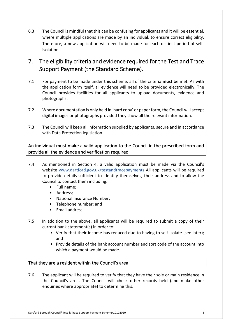$6.3$  where multiple applications are made by an individual, to ensure correct eligibility. Therefore, a new application will need to be made for each distinct period of self-The Council is mindful that this can be confusing for applicants and it will be essential, isolation.

# 7. The eligibility criteria and evidence required for the Test and Trace Support Payment (the Standard Scheme).

- 7.1 For payment to be made under this scheme, all of the criteria **must** be met. As with the application form itself, all evidence will need to be provided electronically. The Council provides facilities for all applicants to upload documents, evidence and photographs.
- $7.2$ 7.2 Where documentation is only held in 'hard copy' or paper form, the Council will accept digital images or photographs provided they show all the relevant information.
- 7.3 The Council will keep all information supplied by applicants, secure and in accordance with Data Protection legislation.

 An individual must make a valid application to the Council in the prescribed form and provide all the evidence and verification required

- $7.4$ website <www.dartford.gov.uk/testandtracepayments> All applicants will be required Council to contact them including: As mentioned in Section 4, a valid application must be made via the Council's to provide details sufficient to identify themselves, their address and to allow the
	- Full name;
	- Address;
	- National Insurance Number;
	- Telephone number; and
	- Email address.
- 7.5 In addition to the above, all applicants will be required to submit a copy of their current bank statement(s) in order to:
	- • Verify that their income has reduced due to having to self-isolate (see later); and
	- • Provide details of the bank account number and sort code of the account into which a payment would be made.

## That they are a resident within the Council's area

 $7.6$  enquiries where appropriate) to determine this. The applicant will be required to verify that they have their sole or main residence in the Council's area. The Council will check other records held (and make other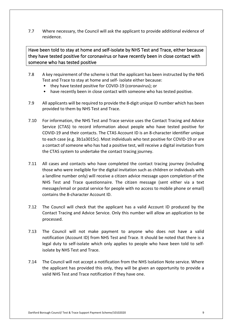$7.7$ 7.7 Where necessary, the Council will ask the applicant to provide additional evidence of residence.

 Have been told to stay at home and self-isolate by NHS Test and Trace, either because they have tested positive for coronavirus or have recently been in close contact with someone who has tested positive

- $7.8$  Test and Trace to stay at home and self- isolate either because: A key requirement of the scheme is that the applicant has been instructed by the NHS
	- they have tested positive for COVID-19 (coronavirus); or
	- have recently been in close contact with someone who has tested positive.
- $7.9$  provided to them by NHS Test and Trace. All applicants will be required to provide the 8-digit unique ID number which has been
- $7.10$  Service (CTAS) to record information about people who have tested positive for COVID-19 and their contacts. The CTAS Account ID is an 8-character identifier unique a contact of someone who has had a positive test, will receive a digital invitation from For information, the NHS Test and Trace service uses the Contact Tracing and Advice to each case (e.g. 3b1a3015c). Most individuals who test positive for COVID-19 or are the CTAS system to undertake the contact tracing journey.
- 7.11 All cases and contacts who have completed the contact tracing journey (including message/email or postal service for people with no access to mobile phone or email) those who were ineligible for the digital invitation such as children or individuals with a landline number only) will receive a citizen advice message upon completion of the NHS Test and Trace questionnaire. The citizen message (sent either via a text contains the 8-character Account ID.
- $7.12$  Contact Tracing and Advice Service. Only this number will allow an application to be The Council will check that the applicant has a valid Account ID produced by the processed.
- 7.13 The Council will not make payment to anyone who does not have a valid notification (Account ID) from NHS Test and Trace. It should be noted that there is a isolate by NHS Test and Trace. legal duty to self-isolate which only applies to people who have been told to self-
- 7.14 The Council will not accept a notification from the NHS Isolation Note service. Where the applicant has provided this only, they will be given an opportunity to provide a valid NHS Test and Trace notification if they have one.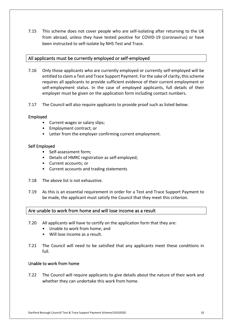7.15 This scheme does not cover people who are self-isolating after returning to the UK from abroad, unless they have tested positive for COVID-19 (coronavirus) or have been instructed to self-isolate by NHS Test and Trace.

## All applicants must be currently employed or self-employed

- $7.16$  entitled to claim a Test and Trace Support Payment. For the sake of clarity, this scheme requires all applicants to provide sufficient evidence of their current employment or self-employment status. In the case of employed applicants, full details of their employer must be given on the application form including contact numbers. 7.16 Only those applicants who are currently employed or currently self-employed will be
- 7.17 The Council will also require applicants to provide proof such as listed below:

#### Employed

- Current wages or salary slips;
- Employment contract; or
- Letter from the employer confirming current employment.

#### Self Employed

- Self-assessment form;
- Details of HMRC registration as self-employed;
- Current accounts; or
- Current accounts and trading statements
- 7.18 The above list is not exhaustive.
- $7.19$ As this is an essential requirement in order for a Test and Trace Support Payment to be made, the applicant must satisfy the Council that they meet this criterion.

### Are unable to work from home and will lose income as a result

- 7.20 All applicants will have to certify on the application form that they are:
	- Unable to work from home; and
	- Will lose income as a result.
- $7.21$ The Council will need to be satisfied that any applicants meet these conditions in full.

#### Unable to work from home

 $7.22$  whether they can undertake this work from home. The Council will require applicants to give details about the nature of their work and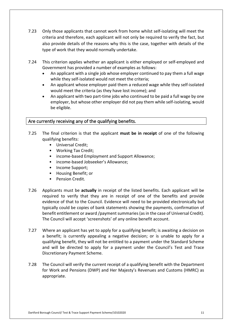- $7.23$  criteria and therefore, each applicant will not only be required to verify the fact, but 7.23 Only those applicants that cannot work from home whilst self-isolating will meet the also provide details of the reasons why this is the case, together with details of the type of work that they would normally undertake.
- $7.24$  Government has provided a number of examples as follows: This criterion applies whether an applicant is either employed or self-employed and
	- • An applicant with a single job whose employer continued to pay them a full wage while they self-isolated would not meet the criteria;
	- • An applicant whose employer paid them a reduced wage while they self-isolated would meet the criteria (as they have lost income); and
	- • An applicant with two part-time jobs who continued to be paid a full wage by one employer, but whose other employer did not pay them while self-isolating, would be eligible.

## Are currently receiving any of the qualifying benefits.

- $7.25$  qualifying benefits: 7.25 The final criterion is that the applicant **must be in receipt** of one of the following
	- Universal Credit;
	- Working Tax Credit;
	- income-based Employment and Support Allowance;
	- income-based Jobseeker's Allowance;
	- Income Support;
	- Housing Benefit; or
	- Pension Credit.
- 7.26 Applicants must be **actually** in receipt of the listed benefits. Each applicant will be required to verify that they are in receipt of one of the benefits and provide evidence of that to the Council. Evidence will need to be provided electronically but typically could be copies of bank statements showing the payments, confirmation of benefit entitlement or award /payment summaries (as in the case of Universal Credit). The Council will accept 'screenshots' of any online benefit account.
- $7.27$  a benefit; is currently appealing a negative decision; or is unable to apply for a qualifying benefit, they will not be entitled to a payment under the Standard Scheme Where an applicant has yet to apply for a qualifying benefit; is awaiting a decision on and will be directed to apply for a payment under the Council's Test and Trace Discretionary Payment Scheme.
- $7.28$ The Council will verify the current receipt of a qualifying benefit with the Department for Work and Pensions (DWP) and Her Majesty's Revenues and Customs (HMRC) as appropriate.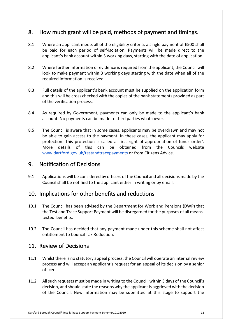## 8. How much grant will be paid, methods of payment and timings.

- 8.1 applicant's bank account within 3 working days, starting with the date of application. Where an applicant meets all of the eligibility criteria, a single payment of £500 shall be paid for each period of self-isolation. Payments will be made direct to the
- $8.2$  required information is received. 8.2 Where further information or evidence is required from the applicant, the Council will look to make payment within 3 working days starting with the date when all of the
- 8.3 Full details of the applicant's bank account must be supplied on the application form and this will be cross checked with the copies of the bank statements provided as part of the verification process.
- 8.4 account. No payments can be made to third parties whatsoever. 8.4 As required by Government, payments can only be made to the applicant's bank
- 8.5 protection. This protection is called a 'first right of appropriation of funds order'. More <www.dartford.gov.uk/testandtracepayments>or from Citizens Advice. The Council is aware that in some cases, applicants may be overdrawn and may not be able to gain access to the payment. In these cases, the applicant may apply for details of this can be obtained from the Councils website

## 9. Notification of Decisions

 9.1 Applications will be considered by officers of the Council and all decisions made by the Council shall be notified to the applicant either in writing or by email.

## 10. Implications for other benefits and reductions

- $10.1$  tested benefits. The Council has been advised by the Department for Work and Pensions (DWP) that the Test and Trace Support Payment will be disregarded for the purposes of all means-
- $10.2$  entitlement to Council Tax Reduction. The Council has decided that any payment made under this scheme shall not affect

## 11. Review of Decisions

- 11.1 Whilst there is no statutory appeal process, the Council will operate an internal review process and will accept an applicant's request for an appeal of its decision by a senior officer.
- $11.2$  decision, and should state the reasons why the applicant is aggrieved with the decision All such requests must be made in writing to the Council, within 3 days of the Council's of the Council. New information may be submitted at this stage to support the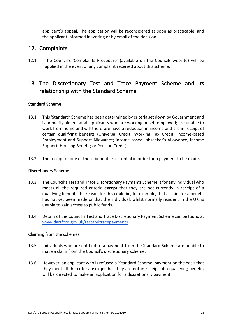applicant's appeal. The application will be reconsidered as soon as practicable, and the applicant informed in writing or by email of the decision.

## 12. Complaints

 $12.1$  applied in the event of any complaint received about this scheme. The Council's 'Complaints Procedure' (available on the Councils website) will be

# 13. The Discretionary Test and Trace Payment Scheme and its relationship with the Standard Scheme

## Standard Scheme

- 13.1 This 'Standard' Scheme has been determined by criteria set down by Government and certain qualifying benefits (Universal Credit; Working Tax Credit; Income-based Employment and Support Allowance; income-based Jobseeker's Allowance; Income Support; Housing Benefit; or Pension Credit). is primarily aimed at all applicants who are working or self-employed; are unable to work from home and will therefore have a reduction in income and are in receipt of
- $13.2$ The receipt of one of those benefits is essential in order for a payment to be made.

#### Discretionary Scheme

- $13.3$  meets all the required criteria **except** that they are not currently in receipt of a qualifying benefit. The reason for this could be, for example, that a claim for a benefit unable to gain access to public funds. 13.3 The Council's Test and Trace Discretionary Payments Scheme is for any individual who has not yet been made or that the individual, whilst normally resident in the UK, is
- 13.4 Details of the Council's Test and Trace Discretionary Payment Scheme can be found at <www.dartford.gov.uk/testandtracepayments>

#### Claiming from the schemes

- 13.5 Individuals who are entitled to a payment from the Standard Scheme are unable to make a claim from the Council's discretionary scheme.
- $13.6$  will be directed to make an application for a discretionary payment. 13.6 However, an applicant who is refused a 'Standard Scheme' payment on the basis that they meet all the criteria **except** that they are not in receipt of a qualifying benefit,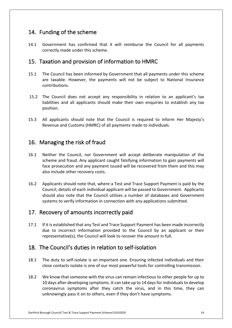## 14. Funding of the scheme

 14.1 Government has confirmed that it will reimburse the Council for all payments correctly made under this scheme.

## 15. Taxation and provision of information to HMRC

- $15.1$ The Council has been informed by Government that all payments under this scheme are taxable. However, the payments will not be subject to National Insurance contributions.
- $15.2$  liabilities and all applicants should make their own enquiries to establish any tax The Council does not accept any responsibility in relation to an applicant's tax position.
- $15.3$  Revenue and Customs (HMRC) of all payments made to individuals. All applicants should note that the Council is required to inform Her Majesty's

## 16. Managing the risk of fraud

- $16.1$  scheme and fraud. Any applicant caught falsifying information to gain payments will Neither the Council, nor Government will accept deliberate manipulation of the face prosecution and any payment issued will be recovered from them and this may also include other recovery costs.
- 16.2 Applicants should note that, where a Test and Trace Support Payment is paid by the Council, details of each individual applicant will be passed to Government. Applicants should also note that the Council utilises a number of databases and Government systems to verify information in connection with any applications submitted.

## 17. Recovery of amounts incorrectly paid

 $17.1$  representative(s), the Council will look to recover the amount in full. 17.1 If it is established that any Test and Trace Support Payment has been made incorrectly due to incorrect information provided to the Council by an applicant or their

## 18. The Council's duties in relation to self-isolation

- 18.1 close contacts isolate is one of our most powerful tools for controlling transmission. The duty to self-isolate is an important one. Ensuring infected individuals and their
- $18<sub>2</sub>$  coronavirus symptoms after they catch the virus, and in this time, they can unknowingly pass it on to others, even if they don't have symptoms. We know that someone with the virus can remain infectious to other people for up to 10 days after developing symptoms. It can take up to 14 days for individuals to develop